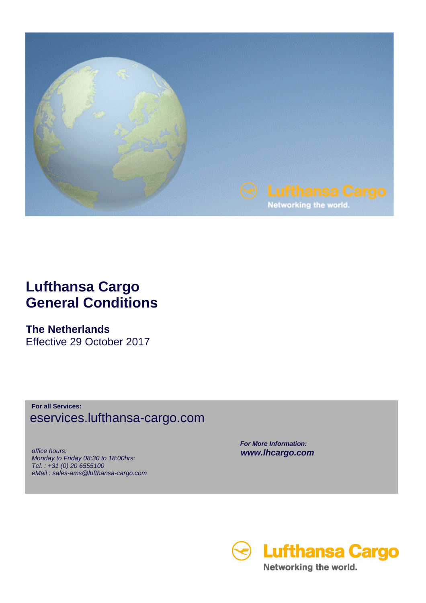

## **Lufthansa Cargo General Conditions**

## **The Netherlands**

Effective 29 October 2017

**For all Services:** eservices.lufthansa-cargo.com

 office hours: Monday to Friday 08:30 to 18:00hrs: Tel. : +31 (0) 20 6555100 eMail : sales-ams@lufthansa-cargo.com  **For More Information: www.lhcargo.com** 

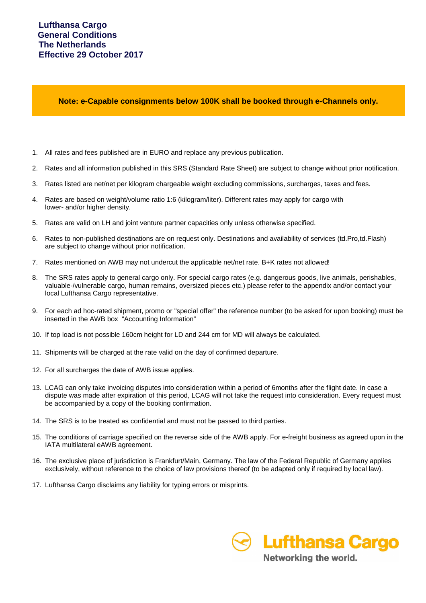**Note: e-Capable consignments below 100K shall be booked through e-Channels only.**

- 1. All rates and fees published are in EURO and replace any previous publication.
- 2. Rates and all information published in this SRS (Standard Rate Sheet) are subject to change without prior notification.
- 3. Rates listed are net/net per kilogram chargeable weight excluding commissions, surcharges, taxes and fees.
- 4. Rates are based on weight/volume ratio 1:6 (kilogram/liter). Different rates may apply for cargo with lower- and/or higher density.
- 5. Rates are valid on LH and joint venture partner capacities only unless otherwise specified.
- 6. Rates to non-published destinations are on request only. Destinations and availability of services (td.Pro,td.Flash) are subject to change without prior notification.
- 7. Rates mentioned on AWB may not undercut the applicable net/net rate. B+K rates not allowed!
- 8. The SRS rates apply to general cargo only. For special cargo rates (e.g. dangerous goods, live animals, perishables, valuable-/vulnerable cargo, human remains, oversized pieces etc.) please refer to the appendix and/or contact your local Lufthansa Cargo representative.
- 9. For each ad hoc-rated shipment, promo or "special offer" the reference number (to be asked for upon booking) must be inserted in the AWB box "Accounting Information"
- 10. If top load is not possible 160cm height for LD and 244 cm for MD will always be calculated.
- 11. Shipments will be charged at the rate valid on the day of confirmed departure.
- 12. For all surcharges the date of AWB issue applies.
- 13. LCAG can only take invoicing disputes into consideration within a period of 6months after the flight date. In case a dispute was made after expiration of this period, LCAG will not take the request into consideration. Every request must be accompanied by a copy of the booking confirmation.
- 14. The SRS is to be treated as confidential and must not be passed to third parties.
- 15. The conditions of carriage specified on the reverse side of the AWB apply. For e-freight business as agreed upon in the IATA multilateral eAWB agreement.
- 16. The exclusive place of jurisdiction is Frankfurt/Main, Germany. The law of the Federal Republic of Germany applies exclusively, without reference to the choice of law provisions thereof (to be adapted only if required by local law).
- 17. Lufthansa Cargo disclaims any liability for typing errors or misprints.

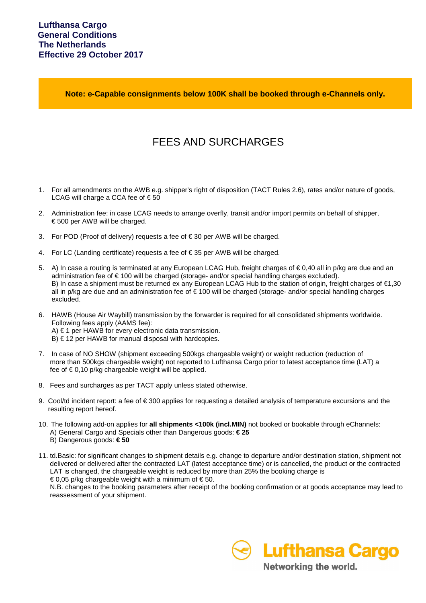**Note: e-Capable consignments below 100K shall be booked through e-Channels only.**

## FEES AND SURCHARGES

- 1. For all amendments on the AWB e.g. shipper's right of disposition (TACT Rules 2.6), rates and/or nature of goods, LCAG will charge a CCA fee of  $\epsilon$  50
- 2. Administration fee: in case LCAG needs to arrange overfly, transit and/or import permits on behalf of shipper, € 500 per AWB will be charged.
- 3. For POD (Proof of delivery) requests a fee of € 30 per AWB will be charged.
- 4. For LC (Landing certificate) requests a fee of € 35 per AWB will be charged.
- 5. A) In case a routing is terminated at any European LCAG Hub, freight charges of € 0,40 all in p/kg are due and an administration fee of € 100 will be charged (storage- and/or special handling charges excluded). B) In case a shipment must be returned ex any European LCAG Hub to the station of origin, freight charges of €1,30 all in p/kg are due and an administration fee of € 100 will be charged (storage- and/or special handling charges excluded.
- 6. HAWB (House Air Waybill) transmission by the forwarder is required for all consolidated shipments worldwide. Following fees apply (AAMS fee): A) € 1 per HAWB for every electronic data transmission.
	- $B$ )  $\in$  12 per HAWB for manual disposal with hardcopies.
- 7. In case of NO SHOW (shipment exceeding 500kgs chargeable weight) or weight reduction (reduction of more than 500kgs chargeable weight) not reported to Lufthansa Cargo prior to latest acceptance time (LAT) a fee of  $\epsilon$  0,10 p/kg chargeable weight will be applied.
- 8. Fees and surcharges as per TACT apply unless stated otherwise.
- 9. Cool/td incident report: a fee of  $\epsilon$  300 applies for requesting a detailed analysis of temperature excursions and the resulting report hereof.
- 10. The following add-on applies for **all shipments <100k (incl.MIN)** not booked or bookable through eChannels: A) General Cargo and Specials other than Dangerous goods: **€ 25** B) Dangerous goods: **€ 50**
- 11. td.Basic: for significant changes to shipment details e.g. change to departure and/or destination station, shipment not delivered or delivered after the contracted LAT (latest acceptance time) or is cancelled, the product or the contracted LAT is changed, the chargeable weight is reduced by more than 25% the booking charge is  $\epsilon$  0,05 p/kg chargeable weight with a minimum of  $\epsilon$  50.

 N.B. changes to the booking parameters after receipt of the booking confirmation or at goods acceptance may lead to reassessment of your shipment.



Networking the world.